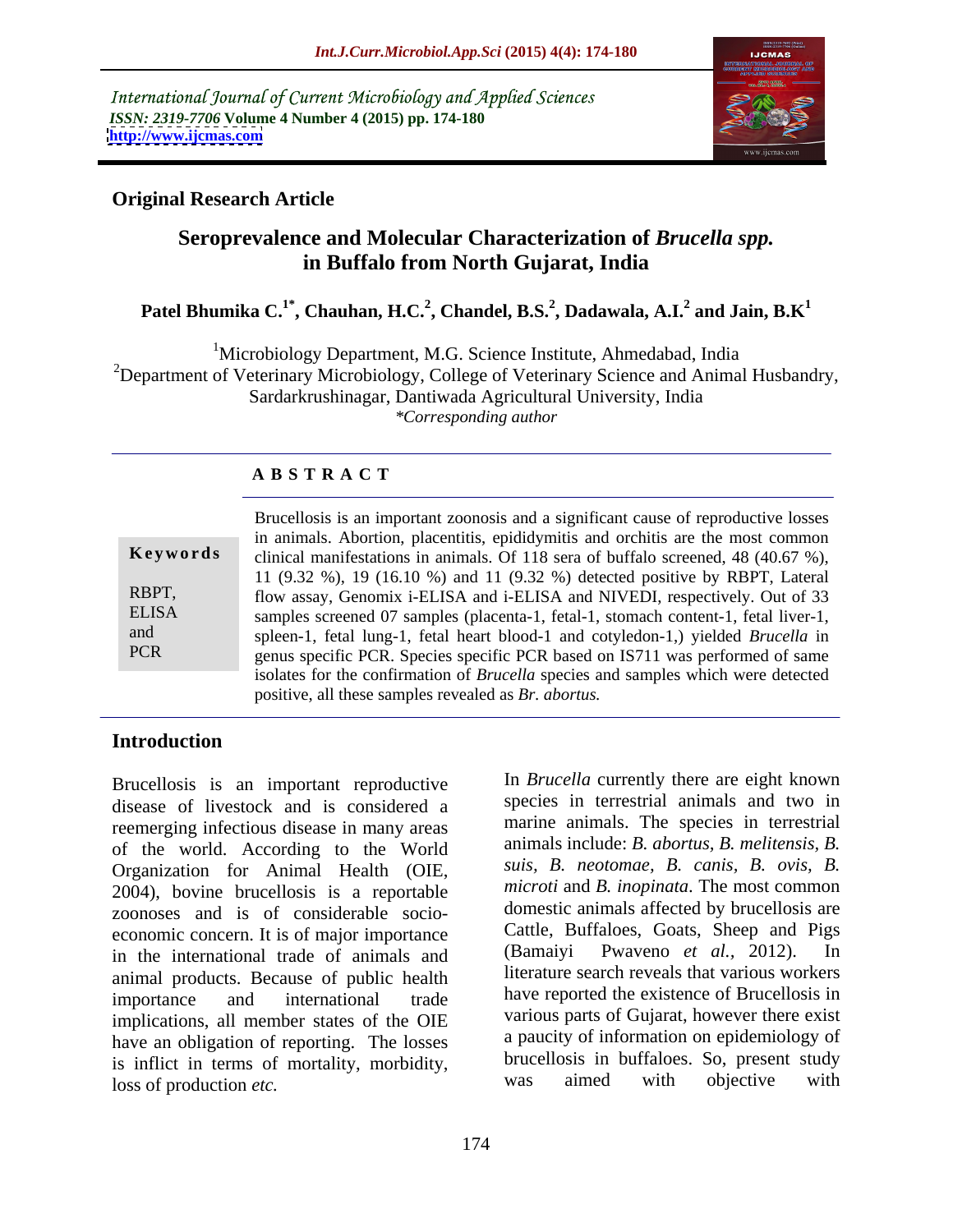International Journal of Current Microbiology and Applied Sciences *ISSN: 2319-7706* **Volume 4 Number 4 (2015) pp. 174-180 <http://www.ijcmas.com>**



## **Original Research Article**

## **Seroprevalence and Molecular Characterization of** *Brucella spp.* **in Buffalo from North Gujarat, India**

### **Patel Bhumika C.1\* , Chauhan, H.C.<sup>2</sup> , Chandel, B.S.<sup>2</sup> , Dadawala, A.I.<sup>2</sup> and Jain, B.K<sup>1</sup>**

<sup>1</sup>Microbiology Department, M.G. Science Institute, Ahmedabad, India

<sup>2</sup>Department of Veterinary Microbiology, College of Veterinary Science and Animal Husbandry,

Sardarkrushinagar, Dantiwada Agricultural University, India

*\*Corresponding author*

## **A B S T R A C T**

| Keywords                                   |
|--------------------------------------------|
| RBPT,<br><b>ELISA</b><br>and<br><b>PCR</b> |

Brucellosis is an important zoonosis and a significant cause of reproductive losses in animals. Abortion, placentitis, epididymitis and orchitis are the most common **Keywords** clinical manifestations in animals. Of 118 sera of buffalo screened, 48 (40.67 %), 11 (9.32 %), 19 (16.10 %) and 11 (9.32 %) detected positive by RBPT, Lateral RBPT, flow assay, Genomix i-ELISA and i-ELISA and NIVEDI, respectively. Out of 33 samples screened 07 samples (placenta-1, fetal-1, stomach content-1, fetal liver-1, ELISA spleen-1, fetal lung-1, fetal heart blood-1 and cotyledon-1,) yielded *Brucella* in and genus specific PCR. Species specific PCR based on IS711 was performed of same isolates for the confirmation of *Brucella* species and samples which were detected positive, all these samples revealed as *Br. abortus.*

## **Introduction**

Brucellosis is an important reproductive disease of livestock and is considered a reemerging infectious disease in many areas of the world. According to the World Organization for Animal Health (OIE, 2004), bovine brucellosis is a reportable zoonoses and is of considerable socio economic concern. It is of major importance<br>in the international trade of animals and (Bamaiyi Pwaveno *et al.*, 2012). In in the international trade of animals and animal products. Because of public health importance and international trade have reported the existence of Brucellosis in implications, all member states of the OIE have an obligation of reporting. The losses is inflict in terms of mortality, morbidity,<br>loss of production *etc* was aimed with objective with loss of production *etc.*

In *Brucella* currently there are eight known species in terrestrial animals and two in marine animals. The species in terrestrial animals include: *B. abortus, B. melitensis, B. suis, B. neotomae, B. canis, B. ovis, B. microti* and *B. inopinata*. The most common domestic animals affected by brucellosis are Cattle, Buffaloes, Goats, Sheep and Pigs (Bamaiyi Pwaveno *et al.,* 2012). In literature search reveals that various workers various parts of Gujarat, however there exist a paucity of information on epidemiology of brucellosis in buffaloes. So, present study was aimed with objective with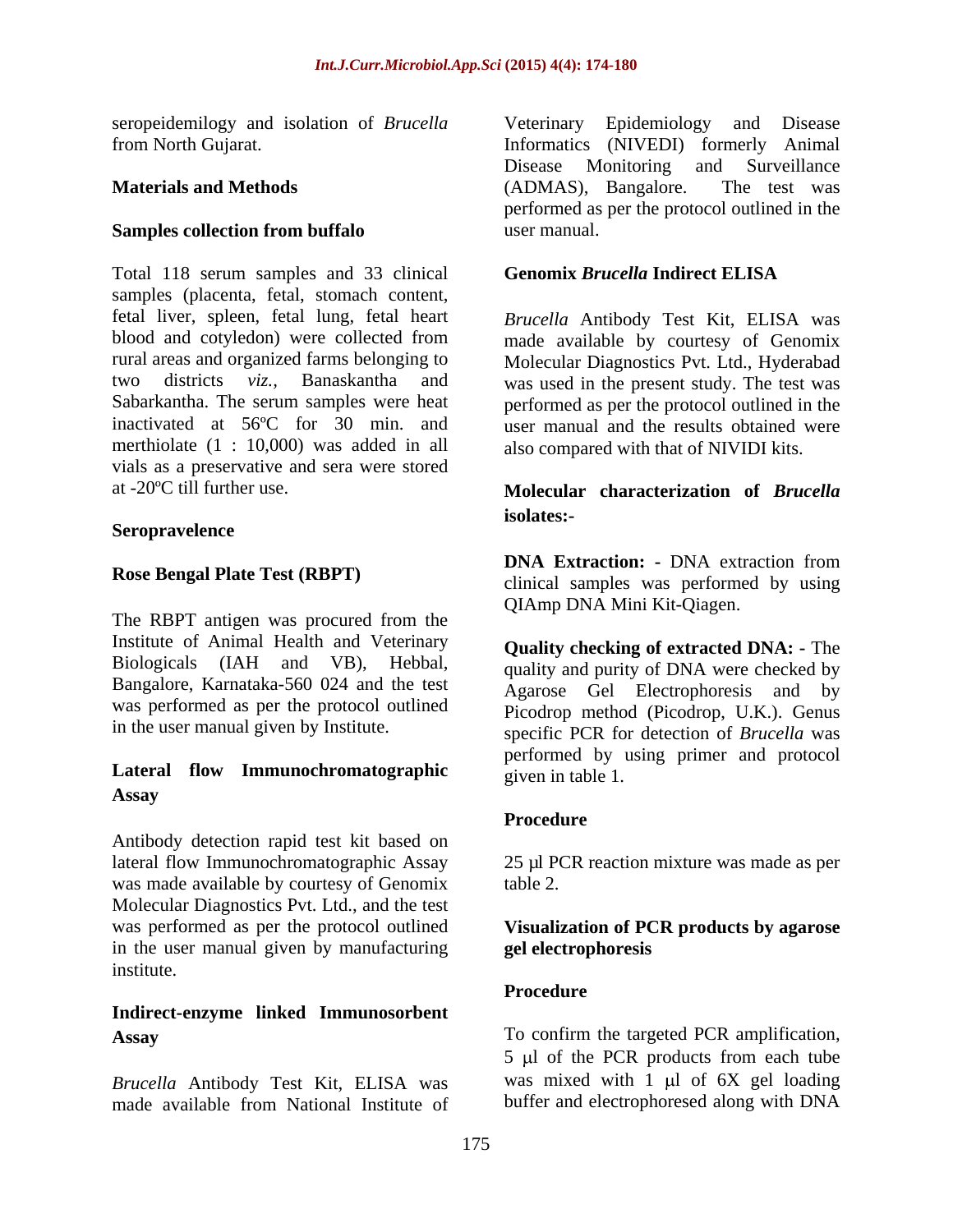seropeidemilogy and isolation of *Brucella* Veterinary Epidemiology and Disease

## **Samples collection from buffalo** user manual.

Total 118 serum samples and 33 clinical Genomix Brucella Indirect ELISA samples (placenta, fetal, stomach content, fetal liver, spleen, fetal lung, fetal heart *Brucella* Antibody Test Kit, ELISA was blood and cotyledon) were collected from made available by courtesy of Genomix rural areas and organized farms belonging to Molecular Diagnostics Pvt. Ltd., Hyderabad two districts *viz.*, Banaskantha and was used in the present study. The test was Sabarkantha. The serum samples were heat performed as per the protocol outlined in the inactivated at 56ºC for 30 min. and user manual and the results obtained were merthiolate (1 : 10,000) was added in all also compared with that of NIVIDI kits. vials as a preservative and sera were stored

## **Seropravelence**

The RBPT antigen was procured from the Institute of Animal Health and Veterinary Biologicals (IAH and VB), Hebbal, Bangalore, Karnataka-560 024 and the test Agarose Gel Electrophoresis and by was performed as per the protocol outlined

## **Lateral flow Immunochromatographic Assay**

Antibody detection rapid test kit based on lateral flow Immunochromatographic Assay 25 µl PCR reaction mixture was made as per was made available by courtesy of Genomix Molecular Diagnostics Pvt. Ltd., and the test was performed as per the protocol outlined **Visualization of PCR products by agarose** in the user manual given by manufacturing gel electrophoresis institute.

# **Indirect-enzyme linked Immunosorbent**

*Brucella* Antibody Test Kit, ELISA was made available from National Institute of buffer and electrophoresed along with DNA

from North Gujarat. Informatics (NIVEDI) formerly Animal **Materials and Methods** (ADMAS), Bangalore. The test was Veterinary Epidemiology and Disease Disease Monitoring and Surveillance (ADMAS), Bangalore. The test was performed as per the protocol outlined in the user manual.

## **Genomix** *Brucella* **Indirect ELISA**

## at -20ºC till further use. **Molecular characterization of** *Brucella* **isolates:-**

**Rose Bengal Plate Test (RBPT)** Clinical samples was performed by using **DNA Extraction: -** DNA extraction from QIAmp DNA Mini Kit-Qiagen.

in the user manual given by Institute. specific PCR for detection of *Brucella* was **Quality checking of extracted DNA: -** The quality and purity of DNA were checked by Picodrop method (Picodrop, U.K.). Genus performed by using primer and protocol given in table 1.

## **Procedure**

table 2.

## **gel electrophoresis**

## **Procedure**

**Assay**  To confirm the targeted PCR amplification,  $5 \mu l$  of the PCR products from each tube was mixed with  $1 \mu$  of  $6X$  gel loading buffer and electrophoresed along with DNA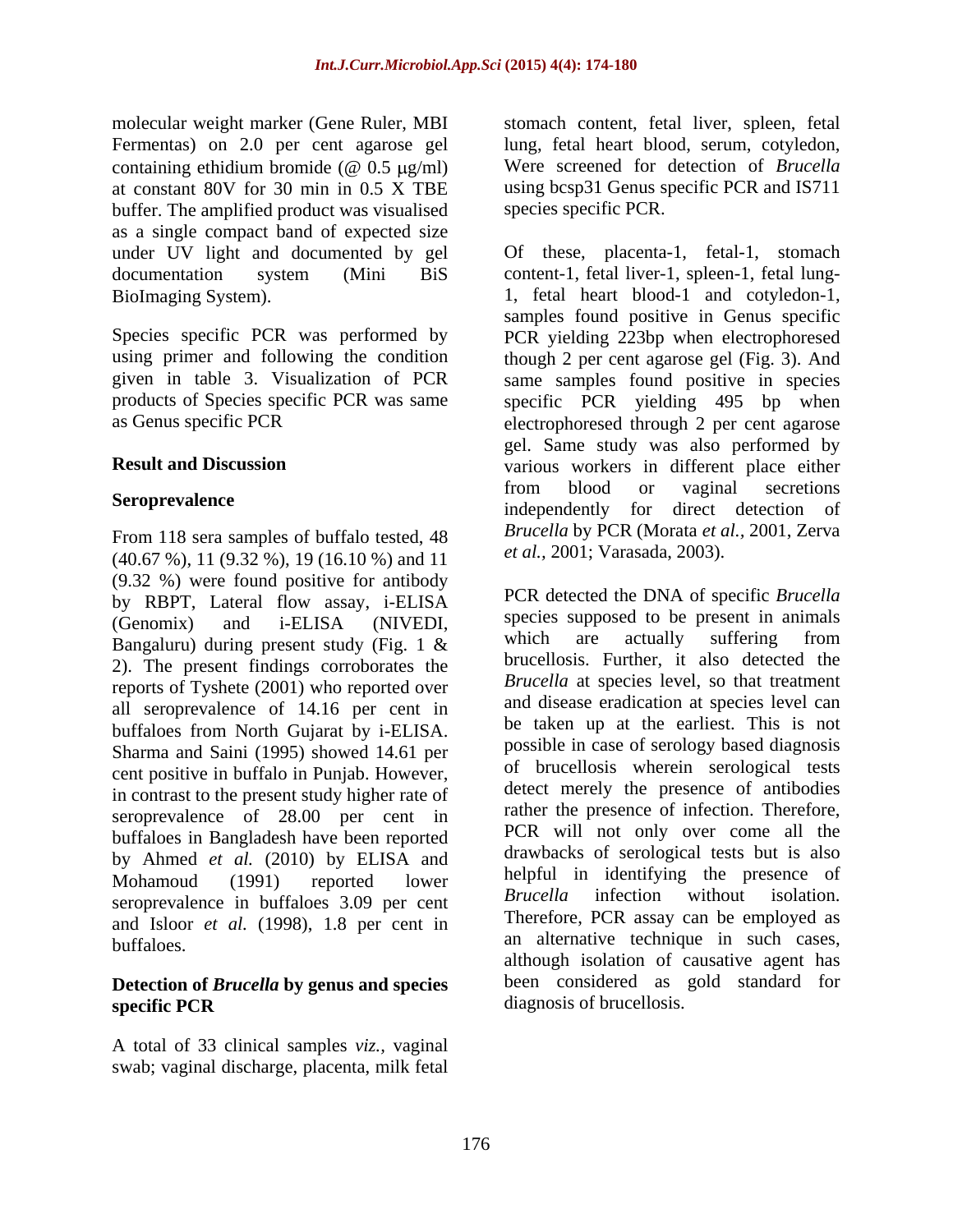Fermentas) on 2.0 per cent agarose gel at constant 80V for 30 min in 0.5 X TBE buffer. The amplified product was visualised as a single compact band of expected size under UV light and documented by gel

From 118 sera samples of buffalo tested, 48 (40.67 %), 11 (9.32 %), 19 (16.10 %) and 11 (9.32 %) were found positive for antibody by RBPT, Lateral flow assay, i-ELISA Bangaluru) during present study (Fig.  $1 \&$  which are actually suffering from 2). The present findings corroborates the reports of Tyshete (2001) who reported over all seroprevalence of 14.16 per cent in buffaloes from North Gujarat by i-ELISA. Sharma and Saini (1995) showed 14.61 per cent positive in buffalo in Punjab. However, in contrast to the present study higher rate of seroprevalence of 28.00 per cent in buffaloes in Bangladesh have been reported by Ahmed *et al.* (2010) by ELISA and seroprevalence in buffaloes 3.09 per cent Brucella infection without isolation. and Isloor *et al.* (1998), 1.8 per cent in

## **Detection of** *Brucella* **by genus and species specific PCR** diagnosis of brucellosis.

A total of 33 clinical samples *viz.,* vaginal swab; vaginal discharge, placenta, milk fetal

molecular weight marker (Gene Ruler, MBI stomach content, fetal liver, spleen, fetal containing ethidium bromide ( $\omega$  0.5  $\mu$ g/ml) Were screened for detection of *Brucella* lung, fetal heart blood, serum, cotyledon, Were screened for detection of *Brucella* using bcsp31 Genus specific PCR and IS711 species specific PCR.

documentation system (Mini BiS content-1, fetal liver-1, spleen-1, fetal lung- BioImaging System). 1, fetal heart blood-1 and cotyledon-1, Species specific PCR was performed by PCR yielding 223bp when electrophoresed using primer and following the condition though 2 per cent agarose gel (Fig. 3). And given in table 3. Visualization of PCR same samples found positive in species products of Species specific PCR was same specific PCR yielding 495 bp when as Genus specific PCR electrophoresed through 2 per cent agarose **Result and Discussion** various workers in different place either **Seroprevalence Seroprevalence Seroprevalence Seroprevalence Seroprevalence Seroprevalence Seroprevalence Seroprevalence Seroprevalence Seroprevalence Seroprevalence Seroprevalence Seroprevalence** Of these, placenta-1, fetal-1, stomach samples found positive in Genus specific gel. Same study was also performed by from blood or vaginal secretions independently for direct detection of *Brucella* by PCR (Morata *et al.,* 2001, Zerva *et al.,* 2001; Varasada, 2003).

(Genomix) and i-ELISA (NIVEDI, species supposed to be present in animals Mohamoud (1991) reported lower helpful in identifying the presence of buffaloes. an alternative technique in such cases, PCR detected the DNA of specific *Brucella* species supposed to be present in animals which are actually suffering from brucellosis. Further, it also detected the *Brucella* at species level, so that treatment and disease eradication at species level can be taken up at the earliest. This is not possible in case of serology based diagnosis of brucellosis wherein serological tests detect merely the presence of antibodies rather the presence of infection. Therefore, PCR will not only over come all the drawbacks of serological tests but is also helpful in identifying the presence of *Brucella* infection without isolation. Therefore, PCR assay can be employed as although isolation of causative agent has been considered as gold standard for diagnosis of brucellosis.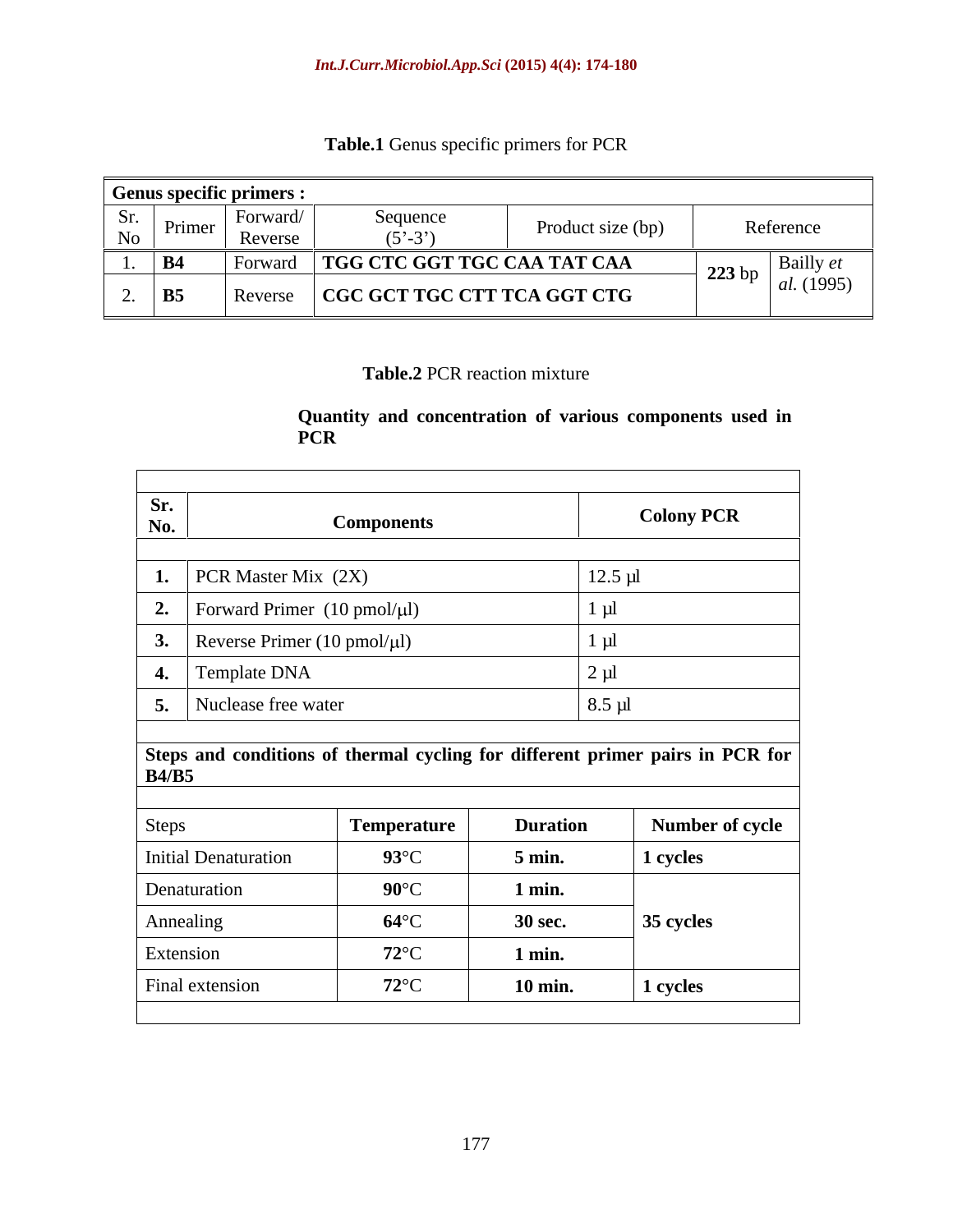| Table.1 Genus spec<br>specific primers for PCR |  |  |
|------------------------------------------------|--|--|
|                                                |  |  |

|                                         | Genus specific primers : |                                       |                   |                                       |
|-----------------------------------------|--------------------------|---------------------------------------|-------------------|---------------------------------------|
| Nr.<br>DI.<br>Primer<br>N <sub>O</sub>  | Forward/<br>Reverse      | Sequence<br>$(5^{\circ} - 3^{\circ})$ | Product size (bp) | Reference                             |
|                                         | †orw                     | TGG CTC GGT TGC CAA TAT CAA           |                   | $\Delta$ Dalliy $\ell l$<br>$-223$ bp |
| <b>B5</b><br>$\overline{\phantom{a}}$ . | Reverse                  | $\mid$ CGC GCT TGC CTT TCA GGT CTG    |                   | <i>al.</i> (1995)                     |

## **Table.2** PCR reaction mixture

## **Quantity and concentration of various componentsused in PCR**

| Sr.<br>No. | <b>Components</b>                                 | <b>Colony PCR</b> |
|------------|---------------------------------------------------|-------------------|
|            |                                                   |                   |
|            | 1.   PCR Master Mix $(2X)$                        | $12.5 \mu l$      |
|            | 2. Forward Primer $(10 \text{ pmol}/\mu\text{l})$ |                   |
|            | 3. Reverse Primer (10 pmol/ $\mu$ l)              |                   |
|            | 4. Template DNA                                   |                   |
|            | 5. Nuclease free water                            | $8.5 \mu l$       |

## **Steps and conditions of thermal cycling for different primer pairs in PCR for B4/B5**

| <b>Steps</b>         | Temperature    | <b>Duration</b>  | <b>Number of cycle</b> |
|----------------------|----------------|------------------|------------------------|
| Initial Denaturation | $93^{\circ}$ C | $5 \text{ min.}$ | 1 cycles               |
| Denaturation         | $90^{\circ}$ C | $1$ min.         |                        |
| Annealing            | $64^{\circ}$ C | <b>30 sec.</b>   | 35 cycles              |
| Extension            | $72^{\circ}$ C | $1$ min.         |                        |
| Final extension      | $72^{\circ}$ C | 10 min.          | 1 cycles               |
|                      |                |                  |                        |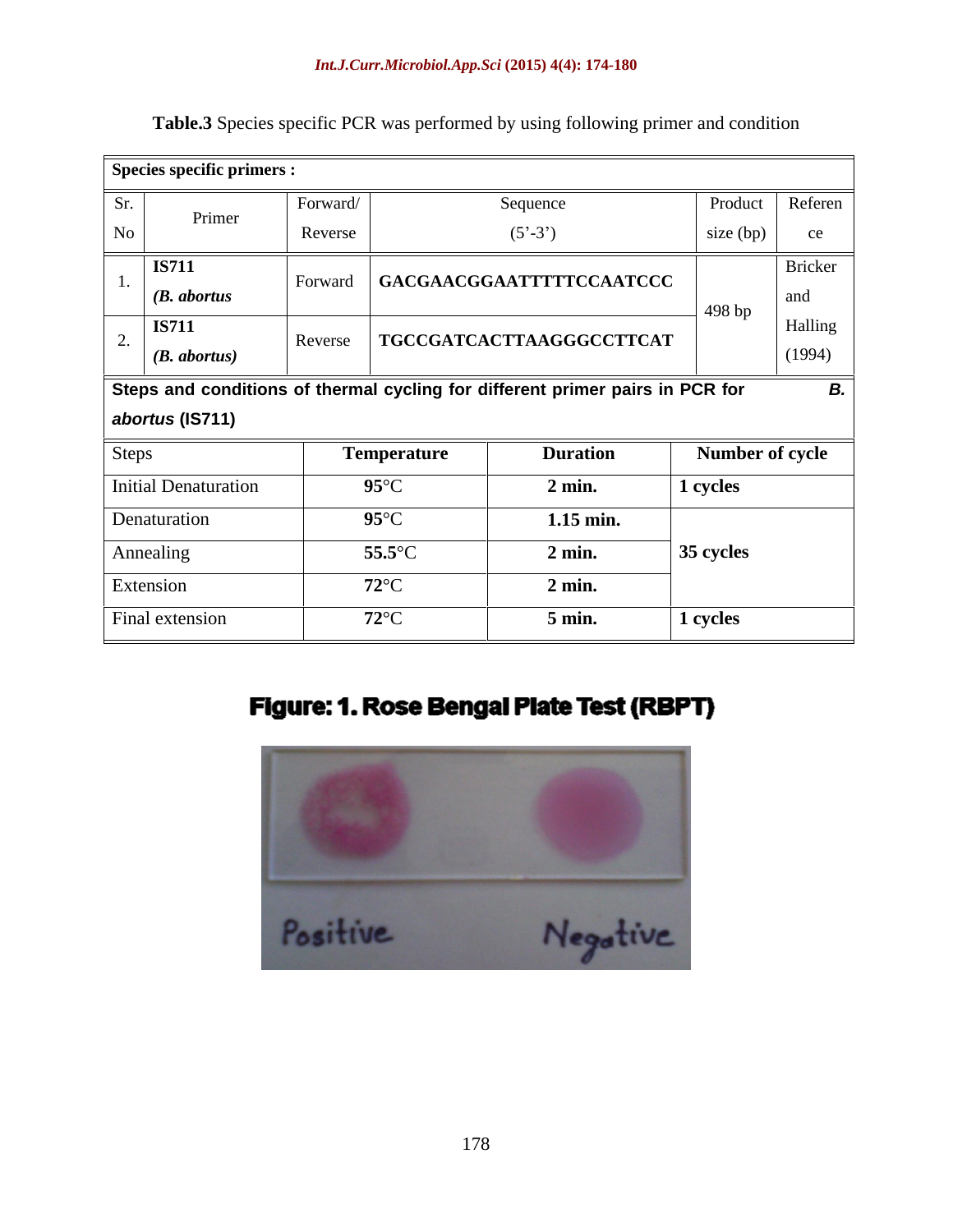### *Int.J.Curr.Microbiol.App.Sci* **(2015) 4(4): 174-180**

| Species specific primers :        |                     |                                                                               |                      |                          |
|-----------------------------------|---------------------|-------------------------------------------------------------------------------|----------------------|--------------------------|
| Sr.<br>Primer<br>No               | Forward/<br>Reverse | Sequence<br>$(5'-3')$                                                         | Product<br>size (bp) | Referen<br>ce            |
| <b>IS711</b><br>$(B.$ abortus     | Forward             | GACGAACGGAATTTTTCCAATCCC                                                      | 498 bp               | Bricker<br>and           |
| <b>IS711</b><br>$(B.$ abortus $)$ | Reverse             | TGCCGATCACTTAAGGGCCTTCAT                                                      |                      | <b>Halling</b><br>(1994) |
| $ $ abortus (IS711)               |                     | Steps and conditions of thermal cycling for different primer pairs in PCR for |                      |                          |
| <b>Steps</b>                      |                     | <b>Duration</b><br><b>Temperature</b>                                         |                      | <b>Number of cycle</b>   |
| Initial Denaturation              |                     | $95^{\circ}$ C<br>$2 \text{ min.}$                                            | 1 cycles             |                          |
| Denaturation                      |                     | $95^{\circ}$ C<br>$1.15$ min.                                                 |                      |                          |
| Annealing                         |                     | $55.5^{\circ}$ C<br>$2$ min.                                                  | $35$ cycles          |                          |
| Extension                         |                     | $72^{\circ}$ C<br>$2$ min.                                                    |                      |                          |
| Final extension                   |                     | $72^{\circ}$ C<br>5 min.                                                      | 1 cycles             |                          |

Table.3 Species specific PCR was performed by using following primer and condition

## Figure: 1. Rose Bengal Plate Test (RBPT)

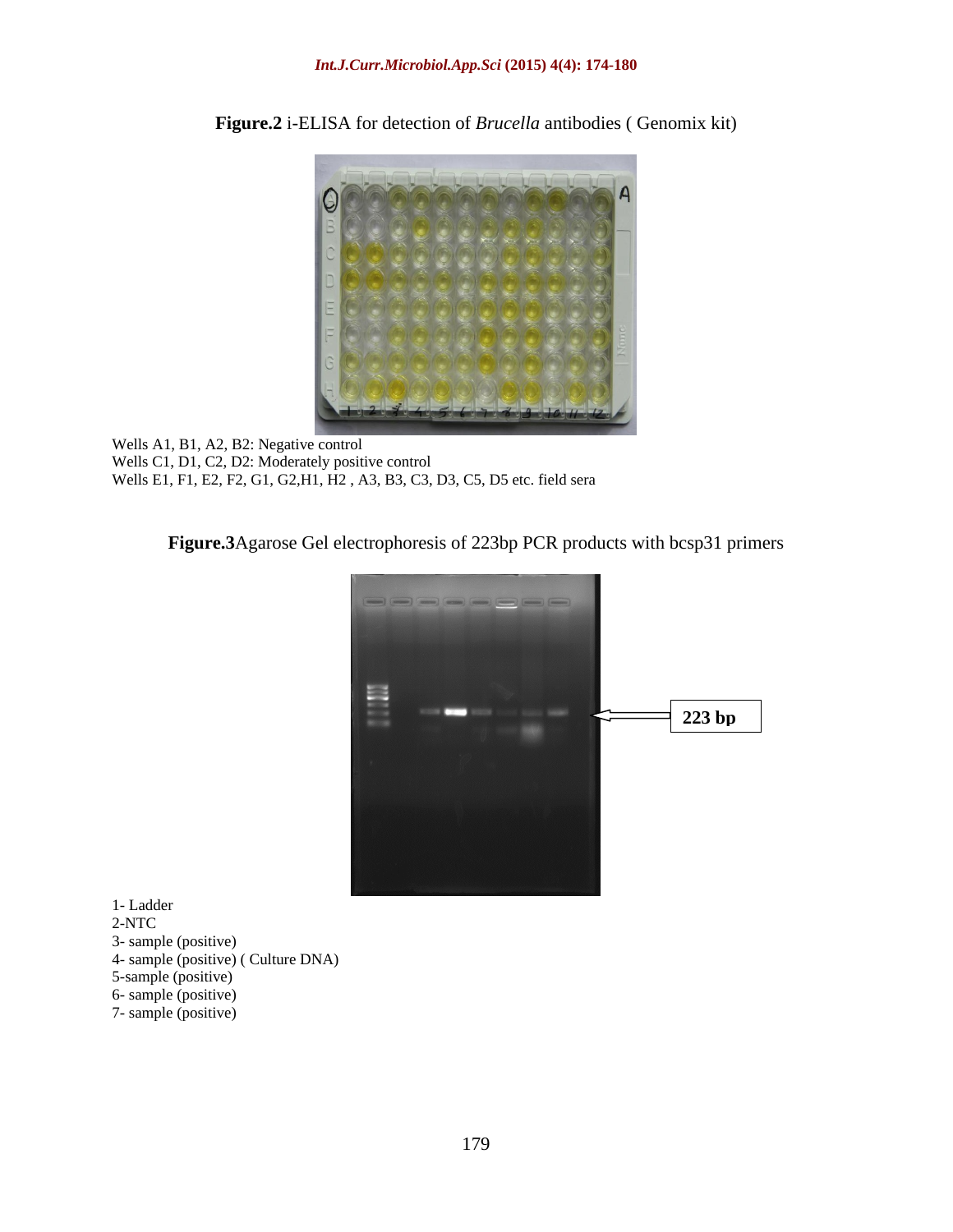

**Figure.2** i-ELISA for detection of *Brucella* antibodies ( Genomix kit)

Wells A1, B1, A2, B2: Negative control Wells C1, D1, C2, D2: Moderately positive control Wells E1, F1, E2, F2, G1, G2,H1, H2 , A3, B3, C3, D3, C5, D5 etc. field sera

## Figure.3Agarose Gel electrophoresis of 223bp PCR products with bcsp31 primers



- 2-NTC
- 3- sample (positive)
- 4- sample (positive) ( Culture DNA)
- 5-sample (positive)
- 6- sample (positive)
- 7- sample (positive)